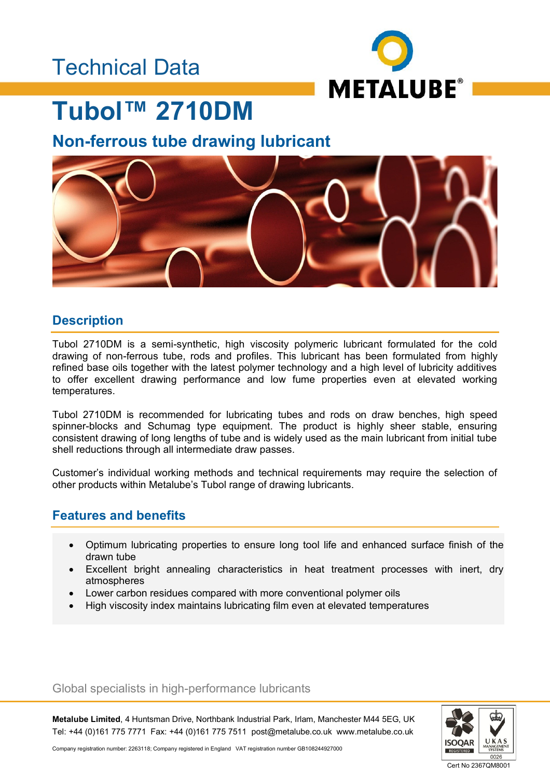## Technical Data



## **Tubol™ 2710DM**

### **Non-ferrous tube drawing lubricant**



### **Description**

Tubol 2710DM is a semi-synthetic, high viscosity polymeric lubricant formulated for the cold drawing of non-ferrous tube, rods and profiles. This lubricant has been formulated from highly refined base oils together with the latest polymer technology and a high level of lubricity additives to offer excellent drawing performance and low fume properties even at elevated working temperatures.

Tubol 2710DM is recommended for lubricating tubes and rods on draw benches, high speed spinner-blocks and Schumag type equipment. The product is highly sheer stable, ensuring consistent drawing of long lengths of tube and is widely used as the main lubricant from initial tube shell reductions through all intermediate draw passes.

Customer's individual working methods and technical requirements may require the selection of other products within Metalube's Tubol range of drawing lubricants.

### **Features and benefits**

- Optimum lubricating properties to ensure long tool life and enhanced surface finish of the drawn tube
- Excellent bright annealing characteristics in heat treatment processes with inert, dry atmospheres
- Lower carbon residues compared with more conventional polymer oils
- High viscosity index maintains lubricating film even at elevated temperatures

Global specialists in high-performance lubricants

**Metalube Limited**, 4 Huntsman Drive, Northbank Industrial Park, Irlam, Manchester M44 5EG, UK Tel: +44 (0)161 775 7771 Fax: +44 (0)161 775 7511 post@metalube.co.uk www.metalube.co.uk



Company registration number: 2263118; Company registered in England VAT registration number GB108244927000